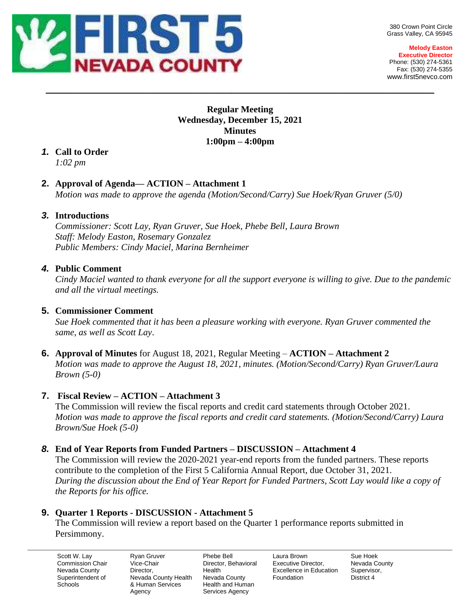

380 Crown Point Circle Grass Valley, CA 95945

**Melody Easton Executive Director** Phone: (530) 274-5361 Fax: (530) 274-5355 www.first5nevco.com

## **Regular Meeting Wednesday, December 15, 2021 Minutes 1:00pm – 4:00pm**

 $\_$  , and the set of the set of the set of the set of the set of the set of the set of the set of the set of the set of the set of the set of the set of the set of the set of the set of the set of the set of the set of th

# *1.* **Call to Order**

*1:02 pm*

## **2. Approval of Agenda— ACTION – Attachment 1**

*Motion was made to approve the agenda (Motion/Second/Carry) Sue Hoek/Ryan Gruver (5/0)*

## *3.* **Introductions**

*Commissioner: Scott Lay, Ryan Gruver, Sue Hoek, Phebe Bell, Laura Brown Staff: Melody Easton, Rosemary Gonzalez Public Members: Cindy Maciel, Marina Bernheimer*

# *4.* **Public Comment**

*Cindy Maciel wanted to thank everyone for all the support everyone is willing to give. Due to the pandemic and all the virtual meetings.*

## **5. Commissioner Comment**

*Sue Hoek commented that it has been a pleasure working with everyone. Ryan Gruver commented the same, as well as Scott Lay*.

**6. Approval of Minutes** for August 18, 2021, Regular Meeting – **ACTION – Attachment 2** *Motion was made to approve the August 18, 2021, minutes. (Motion/Second/Carry) Ryan Gruver/Laura Brown (5-0)*

# **7. Fiscal Review – ACTION – Attachment 3**

The Commission will review the fiscal reports and credit card statements through October 2021. *Motion was made to approve the fiscal reports and credit card statements. (Motion/Second/Carry) Laura Brown/Sue Hoek (5-0)*

# *8.* **End of Year Reports from Funded Partners – DISCUSSION – Attachment 4**

The Commission will review the 2020-2021 year-end reports from the funded partners. These reports contribute to the completion of the First 5 California Annual Report, due October 31, 2021. *During the discussion about the End of Year Report for Funded Partners, Scott Lay would like a copy of the Reports for his office.*

# **9. Quarter 1 Reports - DISCUSSION - Attachment 5**

The Commission will review a report based on the Quarter 1 performance reports submitted in Persimmony.

Scott W. Lay Commission Chair Nevada County Superintendent of **Schools** 

Ryan Gruver Vice-Chair Director, Nevada County Health & Human Services Agency

Phebe Bell Director, Behavioral Health Nevada County Health and Human Services Agency

Laura Brown Executive Director, Excellence in Education Foundation

Sue Hoek Nevada County Supervisor, District 4